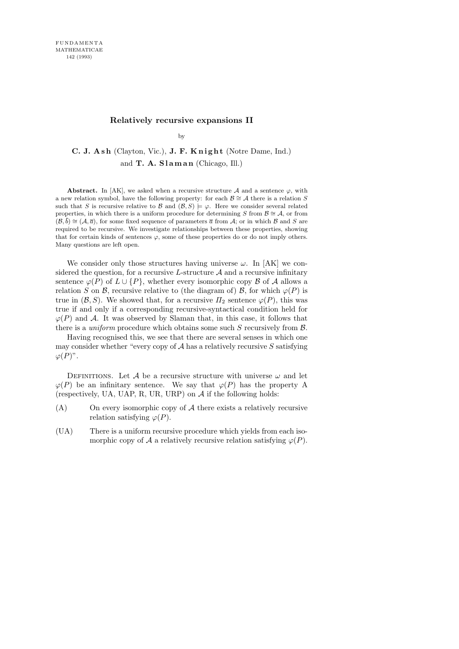## **Relatively recursive expansions II**

by

C. J. Ash (Clayton, Vic.), J. F. Knight (Notre Dame, Ind.) and  $T. A. SIaman (Chicago, Ill.)$ 

**Abstract.** In [AK], we asked when a recursive structure  $\mathcal A$  and a sentence  $\varphi$ , with a new relation symbol, have the following property: for each  $\mathcal{B} \cong \mathcal{A}$  there is a relation *S* such that *S* is recursive relative to  $\mathcal{B}$  and  $(\mathcal{B}, S) \models \varphi$ . Here we consider several related properties, in which there is a uniform procedure for determining *S* from  $\beta \cong A$ , or from  $(\mathcal{B}, \bar{b}) \cong (\mathcal{A}, \bar{a})$ , for some fixed sequence of parameters  $\bar{a}$  from  $\mathcal{A}$ ; or in which  $\mathcal{B}$  and  $S$  are required to be recursive. We investigate relationships between these properties, showing that for certain kinds of sentences  $\varphi$ , some of these properties do or do not imply others. Many questions are left open.

We consider only those structures having universe  $\omega$ . In [AK] we considered the question, for a recursive L-structure  $A$  and a recursive infinitary sentence  $\varphi(P)$  of  $L \cup \{P\}$ , whether every isomorphic copy  $\beta$  of  $\mathcal A$  allows a relation S on B, recursive relative to (the diagram of) B, for which  $\varphi(P)$  is true in  $(\mathcal{B}, S)$ . We showed that, for a recursive  $\Pi_2$  sentence  $\varphi(P)$ , this was true if and only if a corresponding recursive-syntactical condition held for  $\varphi(P)$  and A. It was observed by Slaman that, in this case, it follows that there is a *uniform* procedure which obtains some such  $S$  recursively from  $\beta$ .

Having recognised this, we see that there are several senses in which one may consider whether "every copy of  $A$  has a relatively recursive  $S$  satisfying  $\varphi(P)^{n}$ .

DEFINITIONS. Let A be a recursive structure with universe  $\omega$  and let  $\varphi(P)$  be an infinitary sentence. We say that  $\varphi(P)$  has the property A (respectively, UA, UAP, R, UR, URP) on  $A$  if the following holds:

- (A) On every isomorphic copy of A there exists a relatively recursive relation satisfying  $\varphi(P)$ .
- (UA) There is a uniform recursive procedure which yields from each isomorphic copy of A a relatively recursive relation satisfying  $\varphi(P)$ .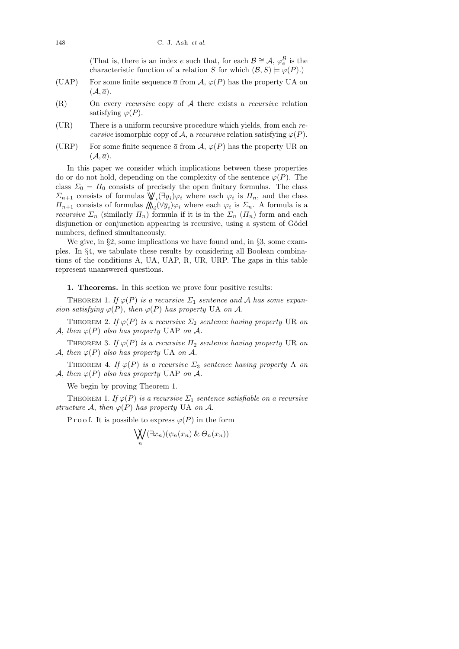(That is, there is an index e such that, for each  $\mathcal{B} \cong \mathcal{A}, \varphi_e^{\mathcal{B}}$  is the characteristic function of a relation S for which  $(\mathcal{B}, S) \models \varphi(P)$ .

- (UAP) For some finite sequence  $\bar{a}$  from  $\mathcal{A}, \varphi(P)$  has the property UA on  $(\mathcal{A}, \overline{a}).$
- (R) On every recursive copy of A there exists a recursive relation satisfying  $\varphi(P)$ .
- (UR) There is a uniform recursive procedure which yields, from each recursive isomorphic copy of A, a recursive relation satisfying  $\varphi(P)$ .
- (URP) For some finite sequence  $\bar{a}$  from  $\mathcal{A}, \varphi(P)$  has the property UR on  $(\mathcal{A}, \overline{a}).$

In this paper we consider which implications between these properties do or do not hold, depending on the complexity of the sentence  $\varphi(P)$ . The class  $\Sigma_0 = \Pi_0$  consists of precisely the open finitary formulas. The class  $\Sigma_{n+1}$  consists of formulas  $\mathbb{W}_i(\exists \overline{y}_i)\varphi_i$  where each  $\varphi_i$  is  $\Pi_n$ , and the class  $\Pi_{n+1}$  consists of formulas  $\bigwedge_i (\forall \overline{y}_i) \varphi_i$  where each  $\varphi_i$  is  $\Sigma_n$ . A formula is a *recursive*  $\Sigma_n$  (similarly  $\Pi_n$ ) formula if it is in the  $\Sigma_n$  ( $\Pi_n$ ) form and each disjunction or conjunction appearing is recursive, using a system of Gödel numbers, defined simultaneously.

We give, in  $\S2$ , some implications we have found and, in  $\S3$ , some examples. In §4, we tabulate these results by considering all Boolean combinations of the conditions A, UA, UAP, R, UR, URP. The gaps in this table represent unanswered questions.

1. Theorems. In this section we prove four positive results:

THEOREM 1. If  $\varphi(P)$  is a recursive  $\Sigma_1$  sentence and A has some expansion satisfying  $\varphi(P)$ , then  $\varphi(P)$  has property UA on A.

THEOREM 2. If  $\varphi(P)$  is a recursive  $\Sigma_2$  sentence having property UR on A, then  $\varphi(P)$  also has property UAP on A.

THEOREM 3. If  $\varphi(P)$  is a recursive  $\Pi_2$  sentence having property UR on A, then  $\varphi(P)$  also has property UA on A.

THEOREM 4. If  $\varphi(P)$  is a recursive  $\Sigma_3$  sentence having property A on A, then  $\varphi(P)$  also has property UAP on A.

We begin by proving Theorem 1.

THEOREM 1. If  $\varphi(P)$  is a recursive  $\Sigma_1$  sentence satisfiable on a recursive structure A, then  $\varphi(P)$  has property UA on A.

P r o o f. It is possible to express  $\varphi(P)$  in the form

$$
\bigvee_n (\exists \overline{x}_n)(\psi_n(\overline{x}_n) \& \Theta_n(\overline{x}_n))
$$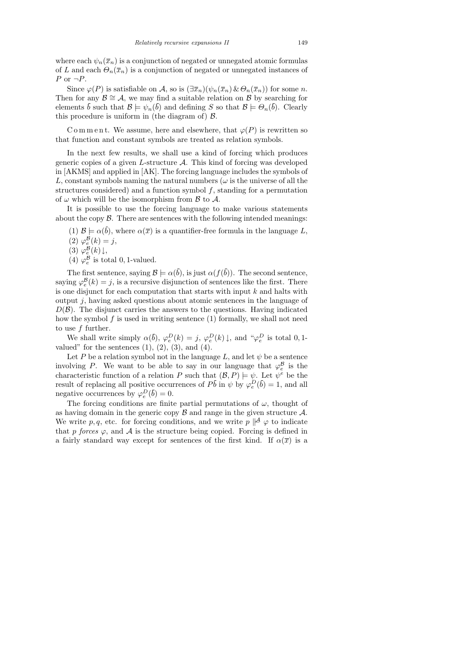where each  $\psi_n(\bar{x}_n)$  is a conjunction of negated or unnegated atomic formulas of L and each  $\Theta_n(\bar{x}_n)$  is a conjunction of negated or unnegated instances of  $P$  or  $\neg P$ .

Since  $\varphi(P)$  is satisfiable on A, so is  $(\exists \overline{x}_n)(\psi_n(\overline{x}_n) \& \Theta_n(\overline{x}_n))$  for some n. Then for any  $\mathcal{B} \cong \mathcal{A}$ , we may find a suitable relation on  $\mathcal{B}$  by searching for elements  $\bar{b}$  such that  $\mathcal{B} \models \psi_n(\bar{b})$  and defining S so that  $\mathcal{B} \models \Theta_n(\bar{b})$ . Clearly this procedure is uniform in (the diagram of)  $\beta$ .

C o m m e n t. We assume, here and elsewhere, that  $\varphi(P)$  is rewritten so that function and constant symbols are treated as relation symbols.

In the next few results, we shall use a kind of forcing which produces generic copies of a given  $L$ -structure  $A$ . This kind of forcing was developed in [AKMS] and applied in [AK]. The forcing language includes the symbols of L, constant symbols naming the natural numbers ( $\omega$  is the universe of all the structures considered) and a function symbol f, standing for a permutation of  $\omega$  which will be the isomorphism from  $\beta$  to  $\mathcal{A}$ .

It is possible to use the forcing language to make various statements about the copy  $\beta$ . There are sentences with the following intended meanings:

(1)  $\mathcal{B} \models \alpha(\bar{b})$ , where  $\alpha(\bar{x})$  is a quantifier-free formula in the language L,

(2)  $\varphi_e^{\mathcal{B}}(k) = j$ ,

(3)  $\varphi_e^{\mathcal{B}}(k) \downarrow$ ,

(4)  $\varphi_e^{\mathcal{B}}$  is total 0, 1-valued.

The first sentence, saying  $\mathcal{B} \models \alpha(\bar{b})$ , is just  $\alpha(f(\bar{b}))$ . The second sentence, saying  $\varphi_e^{\mathcal{B}}(k) = j$ , is a recursive disjunction of sentences like the first. There is one disjunct for each computation that starts with input  $k$  and halts with output  $j$ , having asked questions about atomic sentences in the language of  $D(\mathcal{B})$ . The disjunct carries the answers to the questions. Having indicated how the symbol  $f$  is used in writing sentence  $(1)$  formally, we shall not need to use f further.

We shall write simply  $\alpha(\bar{b}), \varphi_e^D(k) = j, \varphi_e^D(k) \downarrow$ , and " $\varphi_e^D$  is total 0,1valued" for the sentences  $(1), (2), (3),$  and  $(4)$ .

Let P be a relation symbol not in the language L, and let  $\psi$  be a sentence involving P. We want to be able to say in our language that  $\varphi_e^{\mathcal{B}}$  is the characteristic function of a relation P such that  $(\mathcal{B}, P) \models \psi$ . Let  $\psi^e$  be the result of replacing all positive occurrences of  $P\bar{b}$  in  $\psi$  by  $\varphi_e^D(\bar{b}) = 1$ , and all negative occurrences by  $\varphi_e^D(\bar{b}) = 0$ .

The forcing conditions are finite partial permutations of  $\omega$ , thought of as having domain in the generic copy  $\beta$  and range in the given structure  $\mathcal{A}$ . We write p, q, etc. for forcing conditions, and we write  $p \not\mid A \varphi$  to indicate that p forces  $\varphi$ , and A is the structure being copied. Forcing is defined in a fairly standard way except for sentences of the first kind. If  $\alpha(\bar{x})$  is a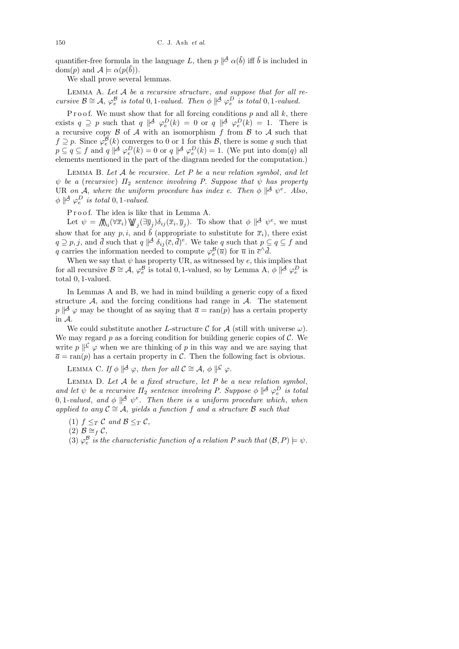quantifier-free formula in the language L, then  $p \not\parallel A \alpha(\bar{b})$  iff  $\bar{b}$  is included in dom(p) and  $\mathcal{A} \models \alpha(p(\bar{b}))$ .

We shall prove several lemmas.

LEMMA A. Let  $A$  be a recursive structure, and suppose that for all recursive  $\mathcal{B} \cong \mathcal{A}, \varphi_e^{\mathcal{B}}$  is total 0, 1-valued. Then  $\phi \not\parallel^{\mathcal{A}} \varphi_e^D$  is total 0, 1-valued.

P r o o f. We must show that for all forcing conditions  $p$  and all  $k$ , there exists  $q \supseteq p$  such that  $q \not\parallel^{\mathcal{A}} \varphi_e^D(k) = 0$  or  $q \not\parallel^{\mathcal{A}} \varphi_e^D(k) = 1$ . There is a recursive copy  $\beta$  of  $\mathcal A$  with an isomorphism  $\hat f$  from  $\beta$  to  $\mathcal A$  such that  $f \supseteq p$ . Since  $\varphi_e^{\mathcal{B}}(k)$  converges to 0 or 1 for this  $\mathcal{B}$ , there is some q such that  $p \subseteq q \subseteq f$  and  $q \not\mid A \varphi_e^D(k) = 0$  or  $q \not\mid A \varphi_e^D(k) = 1$ . (We put into dom(q) all elements mentioned in the part of the diagram needed for the computation.)

LEMMA B. Let  $A$  be recursive. Let  $P$  be a new relation symbol, and let  $\psi$  be a (recursive)  $\Pi_2$  sentence involving P. Suppose that  $\psi$  has property UR on A, where the uniform procedure has index e. Then  $\phi \not\parallel^{\mathcal{A}} \psi^e$ . Also,  $\phi \parallel^{\mathcal{A}} \varphi_e^D$  is total 0, 1-valued.

P r o o f. The idea is like that in Lemma A.

Let  $\psi = \mathcal{N}_i(\forall \bar{x}_i) \mathcal{V}_j(\exists \bar{y}_j) \delta_{ij}(\bar{x}_i, \bar{y}_j)$ . To show that  $\phi \not\mid A \psi^e$ , we must show that for any p, i, and  $\bar{b}$  (appropriate to substitute for  $\bar{x}_i$ ), there exist  $q \supseteq p, j$ , and  $\bar{d}$  such that  $q \not\mid \triangleq \delta_{ij} (\bar{c}, \bar{d})^e$ . We take q such that  $p \subseteq q \subseteq f$  and q carries the information needed to compute  $\varphi_e^{\mathcal{B}}(\overline{u})$  for  $\overline{u}$  in  $\overline{c}^{\wedge} \overline{d}$ .

When we say that  $\psi$  has property UR, as witnessed by  $e$ , this implies that for all recursive  $\mathcal{B} \cong \mathcal{A}, \varphi_e^{\mathcal{B}}$  is total 0, 1-valued, so by Lemma A,  $\phi \mid A \varphi_e^D$  is total 0, 1-valued.

In Lemmas A and B, we had in mind building a generic copy of a fixed structure  $A$ , and the forcing conditions had range in  $A$ . The statement  $p \not\mid A \varphi$  may be thought of as saying that  $\bar{a} = \text{ran}(p)$  has a certain property in A.

We could substitute another L-structure C for  $\mathcal A$  (still with universe  $\omega$ ). We may regard  $p$  as a forcing condition for building generic copies of  $\mathcal{C}$ . We write  $p \not\mid \mathcal{L} \varphi$  when we are thinking of p in this way and we are saying that  $\overline{a} = \text{ran}(p)$  has a certain property in C. Then the following fact is obvious.

LEMMA C. If  $\phi \not\parallel^{\mathcal{A}} \varphi$ , then for all  $\mathcal{C} \cong \mathcal{A}, \phi \not\parallel^{\mathcal{C}} \varphi$ .

LEMMA D. Let  $A$  be a fixed structure, let  $P$  be a new relation symbol, and let  $\psi$  be a recursive  $\Pi_2$  sentence involving P. Suppose  $\phi \not\parallel^{\mathcal{A}} \varphi_e^D$  is total 0, 1-valued, and  $\phi \parallel^{\mathcal{A}} \psi^e$ . Then there is a uniform procedure which, when applied to any  $\mathcal{C} \cong \mathcal{A}$ , yields a function f and a structure  $\mathcal{B}$  such that

- (1)  $f \leq_T C$  and  $\mathcal{B} \leq_T C$ ,
- (2)  $\mathcal{B} \cong_f \mathcal{C}$ ,

(3)  $\varphi_e^{\mathcal{B}}$  is the characteristic function of a relation P such that  $(\mathcal{B}, P) \models \psi$ .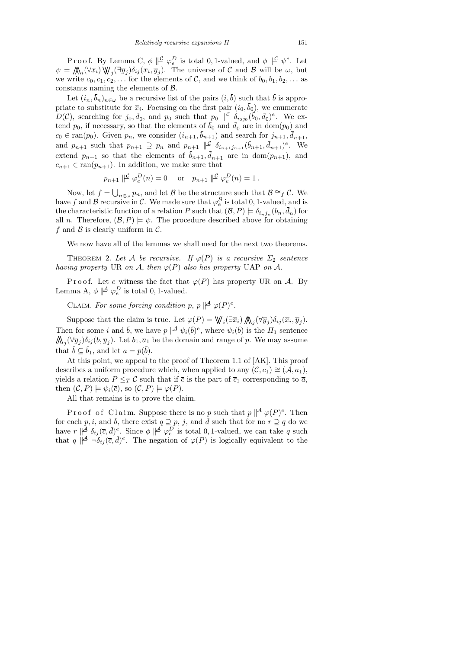Proof. By Lemma C,  $\phi \parallel^{\mathcal{C}} \varphi_e^D$  is total 0, 1-valued, and  $\phi \parallel^{\mathcal{C}} \psi^e$ . Let  $\psi = \mathcal{M}_i(\forall \overline{x}_i) \mathcal{W}_j(\exists \overline{y}_j) \delta_{ij}(\overline{x}_i, \overline{y}_j).$  The universe of C and B will be  $\omega$ , but we write  $c_0, c_1, c_2, \ldots$  for the elements of C, and we think of  $b_0, b_1, b_2, \ldots$  as constants naming the elements of  $\beta$ .

Let  $(i_n, \bar{b}_n)_{n \in \omega}$  be a recursive list of the pairs  $(i, \bar{b})$  such that  $\bar{b}$  is appropriate to substitute for  $\bar{x}_i$ . Focusing on the first pair  $(i_0, b_0)$ , we enumerate  $D(\mathcal{C})$ , searching for  $j_0, \bar{d}_0$ , and  $p_0$  such that  $p_0 \not\mid \mathcal{C}$   $\delta_{i_0j_0}(\bar{b}_0, \bar{d}_0)^e$ . We extend  $p_0$ , if necessary, so that the elements of  $b_0$  and  $\bar{d}_0$  are in dom $(p_0)$  and  $c_0 \in \text{ran}(p_0)$ . Given  $p_n$ , we consider  $(i_{n+1}, \bar{b}_{n+1})$  and search for  $j_{n+1}, \bar{d}_{n+1}$ , and  $p_{n+1}$  such that  $p_{n+1} \supseteq p_n$  and  $p_{n+1} \not\mid \mathcal{L}^{-} \delta_{i_{n+1}j_{n+1}}(\bar{b}_{n+1}, \bar{d}_{n+1})^e$ . We extend  $p_{n+1}$  so that the elements of  $b_{n+1}, \bar{d}_{n+1}$  are in dom $(p_{n+1})$ , and  $c_{n+1} \in \text{ran}(p_{n+1})$ . In addition, we make sure that

$$
p_{n+1} \n\mid\!\!\!\mid^{\mathcal{L}} \varphi_e^D(n) = 0 \quad \text{or} \quad p_{n+1} \n\mid\!\!\!\mid^{\mathcal{L}} \varphi_e^D(n) = 1.
$$

Now, let  $f = \bigcup_{n \in \omega} p_n$ , and let B be the structure such that  $\mathcal{B} \cong_f \mathcal{C}$ . We have f and B recursive in C. We made sure that  $\varphi_e^{\mathcal{B}}$  is total 0, 1-valued, and is the characteristic function of a relation P such that  $(\mathcal{B}, P) \models \delta_{i_n j_n}(b_n, d_n)$  for all *n*. Therefore,  $(\mathcal{B}, P) \models \psi$ . The procedure described above for obtaining f and  $\beta$  is clearly uniform in  $\mathcal{C}$ .

We now have all of the lemmas we shall need for the next two theorems.

THEOREM 2. Let A be recursive. If  $\varphi(P)$  is a recursive  $\Sigma_2$  sentence having property UR on A, then  $\varphi(P)$  also has property UAP on A.

Proof. Let e witness the fact that  $\varphi(P)$  has property UR on A. By Lemma A,  $\phi \parallel^{\mathcal{A}} \varphi_e^D$  is total 0, 1-valued.

CLAIM. For some forcing condition p, p  $\mathcal{A} \varphi(P)^e$ .

Suppose that the claim is true. Let  $\varphi(P) = \mathbb{W}_i(\exists \overline{x}_i) \bigwedge_j (\forall \overline{y}_j) \delta_{ij}(\overline{x}_i, \overline{y}_j).$ Then for some i and  $\bar{b}$ , we have  $p \not\parallel^{\mathcal{A}} \psi_i(\bar{b})^e$ , where  $\psi_i(\bar{b})$  is the  $\Pi_1$  sentence  $\mathcal{M}_j(\forall \overline{y}_j)\delta_{ij}(\overline{b}, \overline{y}_j)$ . Let  $\overline{b}_1, \overline{a}_1$  be the domain and range of p. We may assume that  $b \subseteq b_1$ , and let  $\overline{a} = p(b)$ .

At this point, we appeal to the proof of Theorem 1.1 of [AK]. This proof describes a uniform procedure which, when applied to any  $(C, \bar{c}_1) \cong (\mathcal{A}, \bar{a}_1)$ , yields a relation  $P \leq_T C$  such that if  $\bar{c}$  is the part of  $\bar{c}_1$  corresponding to  $\bar{a}$ , then  $(C, P) \models \psi_i(\overline{c}),$  so  $(C, P) \models \varphi(P)$ .

All that remains is to prove the claim.

Proof of Claim. Suppose there is no p such that  $p \not\mid^{\mathcal{A}} \varphi(P)^e$ . Then for each p, i, and b, there exist  $q \supseteq p$ , j, and  $\bar{d}$  such that for no  $r \supseteq q$  do we have  $r \not\parallel A \delta_{ij}(\bar{c}, \bar{d})^e$ . Since  $\phi \not\parallel A \varphi_e^D$  is total 0, 1-valued, we can take q such that  $q \not\parallel^{\mathcal{A}} \neg \delta_{ij}(\bar{c}, \bar{d})^e$ . The negation of  $\varphi(P)$  is logically equivalent to the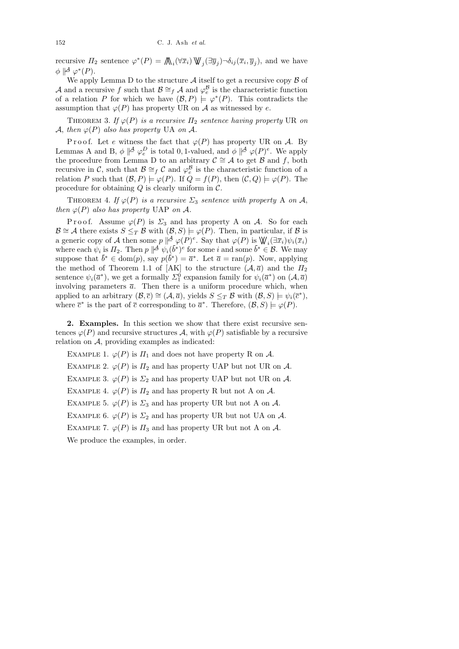recursive  $\Pi_2$  sentence  $\varphi^*(P) = \bigwedge_i (\forall \bar{x}_i) \bigvee \{ \exists \bar{y}_j \} \neg \delta_{ij}(\bar{x}_i, \bar{y}_j)$ , and we have  $\phi \parallel^{\mathcal{A}} \varphi^*(P).$ 

We apply Lemma D to the structure  $A$  itself to get a recursive copy  $B$  of A and a recursive f such that  $\mathcal{B} \cong_f \mathcal{A}$  and  $\varphi_e^{\mathcal{B}}$  is the characteristic function of a relation P for which we have  $(\mathcal{B}, P) \models \varphi^*(P)$ . This contradicts the assumption that  $\varphi(P)$  has property UR on A as witnessed by e.

THEOREM 3. If  $\varphi(P)$  is a recursive  $\Pi_2$  sentence having property UR on A, then  $\varphi(P)$  also has property UA on A.

Proof. Let e witness the fact that  $\varphi(P)$  has property UR on A. By Lemmas A and B,  $\phi \not\parallel^{\mathcal{A}} \varphi_e^D$  is total 0, 1-valued, and  $\phi \not\parallel^{\mathcal{A}} \varphi(P)^e$ . We apply the procedure from Lemma D to an arbitrary  $\mathcal{C} \cong \mathcal{A}$  to get  $\mathcal{B}$  and f, both recursive in C, such that  $\mathcal{B} \cong_f C$  and  $\varphi_e^{\mathcal{B}}$  is the characteristic function of a relation P such that  $(\mathcal{B}, P) \models \varphi(P)$ . If  $Q = f(P)$ , then  $(\mathcal{C}, Q) \models \varphi(P)$ . The procedure for obtaining  $Q$  is clearly uniform in  $\mathcal{C}$ .

THEOREM 4. If  $\varphi(P)$  is a recursive  $\Sigma_3$  sentence with property A on A, then  $\varphi(P)$  also has property UAP on A.

P r o o f. Assume  $\varphi(P)$  is  $\Sigma_3$  and has property A on A. So for each  $\mathcal{B} \cong \mathcal{A}$  there exists  $S \leq_T \mathcal{B}$  with  $(\mathcal{B}, S) \models \varphi(P)$ . Then, in particular, if  $\mathcal{B}$  is a generic copy of A then some  $p \not\mid A_{\varphi}(P)^e$ . Say that  $\varphi(P)$  is  $\mathbb{W}_i(\exists \overline{x}_i)\psi_i(\overline{x}_i)$ where each  $\psi_i$  is  $\Pi_2$ . Then  $p \not\parallel^{\mathcal{A}} \psi_i(\bar{b}^*)^e$  for some i and some  $\bar{b}^* \in \mathcal{B}$ . We may suppose that  $\bar{b}^* \in \text{dom}(p)$ , say  $p(\bar{b}^*) = \bar{a}^*$ . Let  $\bar{a} = \text{ran}(p)$ . Now, applying the method of Theorem 1.1 of [AK] to the structure  $(A, \bar{a})$  and the  $\Pi_2$ sentence  $\psi_i(\bar{a}^*)$ , we get a formally  $\Sigma_1^0$  expansion family for  $\psi_i(\bar{a}^*)$  on  $(\mathcal{A}, \bar{a})$ involving parameters  $\bar{a}$ . Then there is a uniform procedure which, when applied to an arbitrary  $(\mathcal{B}, \overline{c}) \cong (\mathcal{A}, \overline{a})$ , yields  $S \leq_T \mathcal{B}$  with  $(\mathcal{B}, S) \models \psi_i(\overline{c}^*)$ , where  $\overline{c}^*$  is the part of  $\overline{c}$  corresponding to  $\overline{a}^*$ . Therefore,  $(\mathcal{B}, S) \models \varphi(P)$ .

2. Examples. In this section we show that there exist recursive sentences  $\varphi(P)$  and recursive structures A, with  $\varphi(P)$  satisfiable by a recursive relation on A, providing examples as indicated:

EXAMPLE 1.  $\varphi(P)$  is  $\Pi_1$  and does not have property R on A. EXAMPLE 2.  $\varphi(P)$  is  $\Pi_2$  and has property UAP but not UR on A. EXAMPLE 3.  $\varphi(P)$  is  $\Sigma_2$  and has property UAP but not UR on A. EXAMPLE 4.  $\varphi(P)$  is  $\Pi_2$  and has property R but not A on A. EXAMPLE 5.  $\varphi(P)$  is  $\Sigma_3$  and has property UR but not A on A. EXAMPLE 6.  $\varphi(P)$  is  $\Sigma_2$  and has property UR but not UA on A. EXAMPLE 7.  $\varphi(P)$  is  $\Pi_3$  and has property UR but not A on A. We produce the examples, in order.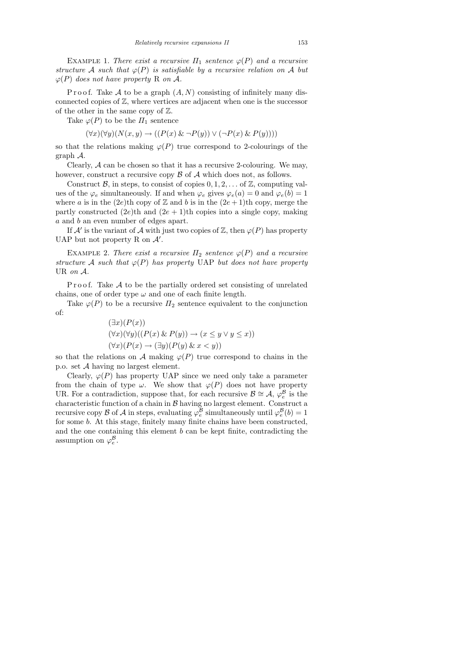EXAMPLE 1. There exist a recursive  $\Pi_1$  sentence  $\varphi(P)$  and a recursive structure A such that  $\varphi(P)$  is satisfiable by a recursive relation on A but  $\varphi(P)$  does not have property R on A.

P r o o f. Take A to be a graph  $(A, N)$  consisting of infinitely many disconnected copies of Z, where vertices are adjacent when one is the successor of the other in the same copy of  $\mathbb{Z}$ .

Take  $\varphi(P)$  to be the  $\Pi_1$  sentence

 $(\forall x)(\forall y)(N(x,y) \rightarrow ((P(x) \& \neg P(y)) \vee (\neg P(x) \& P(y))))$ 

so that the relations making  $\varphi(P)$  true correspond to 2-colourings of the graph A.

Clearly,  $A$  can be chosen so that it has a recursive 2-colouring. We may, however, construct a recursive copy  $\beta$  of  $\mathcal A$  which does not, as follows.

Construct B, in steps, to consist of copies  $0, 1, 2, \ldots$  of  $\mathbb{Z}$ , computing values of the  $\varphi_e$  simultaneously. If and when  $\varphi_e$  gives  $\varphi_e(a) = 0$  and  $\varphi_e(b) = 1$ where a is in the (2e)th copy of  $\mathbb Z$  and b is in the (2e + 1)th copy, merge the partly constructed  $(2e)$ th and  $(2e + 1)$ th copies into a single copy, making a and b an even number of edges apart.

If  $\mathcal{A}'$  is the variant of  $\mathcal A$  with just two copies of  $\mathbb Z$ , then  $\varphi(P)$  has property UAP but not property R on  $\mathcal{A}'$ .

EXAMPLE 2. There exist a recursive  $\Pi_2$  sentence  $\varphi(P)$  and a recursive structure A such that  $\varphi(P)$  has property UAP but does not have property UR on A.

Proof. Take  $A$  to be the partially ordered set consisting of unrelated chains, one of order type  $\omega$  and one of each finite length.

Take  $\varphi(P)$  to be a recursive  $\Pi_2$  sentence equivalent to the conjunction of:

$$
(\exists x)(P(x))(\forall x)(\forall y)((P(x) \& P(y)) \rightarrow (x \le y \lor y \le x))(\forall x)(P(x) \rightarrow (\exists y)(P(y) \& x < y))
$$

so that the relations on A making  $\varphi(P)$  true correspond to chains in the p.o. set A having no largest element.

Clearly,  $\varphi(P)$  has property UAP since we need only take a parameter from the chain of type  $\omega$ . We show that  $\varphi(P)$  does not have property UR. For a contradiction, suppose that, for each recursive  $\mathcal{B} \cong \mathcal{A}, \varphi_e^{\mathcal{B}}$  is the characteristic function of a chain in  $\mathcal B$  having no largest element. Construct a recursive copy  $\mathcal B$  of  $\mathcal A$  in steps, evaluating  $\varphi_e^{\mathcal B}$  simultaneously until  $\varphi_e^{\mathcal B}(b)=1$ for some b. At this stage, finitely many finite chains have been constructed, and the one containing this element  $b$  can be kept finite, contradicting the assumption on  $\varphi_e^{\mathcal{B}}$ .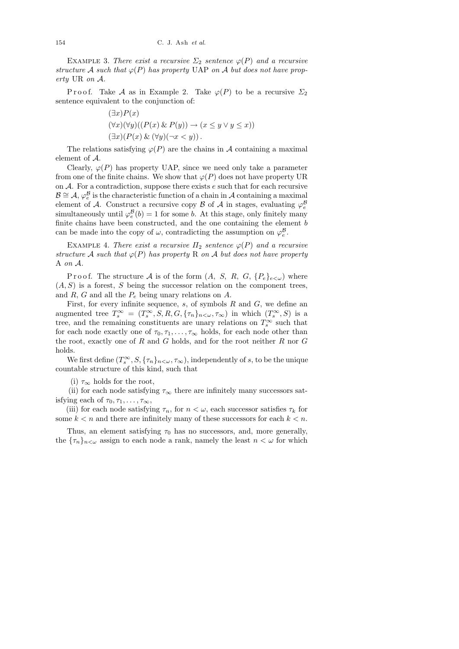EXAMPLE 3. There exist a recursive  $\Sigma_2$  sentence  $\varphi(P)$  and a recursive structure A such that  $\varphi(P)$  has property UAP on A but does not have property UR on A.

P r o o f. Take A as in Example 2. Take  $\varphi(P)$  to be a recursive  $\Sigma_2$ sentence equivalent to the conjunction of:

$$
(\exists x) P(x)
$$
  

$$
(\forall x)(\forall y)((P(x) \& P(y)) \rightarrow (x \le y \lor y \le x))
$$
  

$$
(\exists x)(P(x) \& (\forall y)(\neg x < y)).
$$

The relations satisfying  $\varphi(P)$  are the chains in A containing a maximal element of A.

Clearly,  $\varphi(P)$  has property UAP, since we need only take a parameter from one of the finite chains. We show that  $\varphi(P)$  does not have property UR on  $A$ . For a contradiction, suppose there exists  $e$  such that for each recursive  $\mathcal{B} \cong \mathcal{A}, \varphi_e^{\mathcal{B}}$  is the characteristic function of a chain in  $\mathcal{A}$  containing a maximal element of A. Construct a recursive copy B of A in stages, evaluating  $\varphi_e^{\mathcal{B}}$ simultaneously until  $\varphi_e^{\mathcal{B}}(b) = 1$  for some b. At this stage, only finitely many finite chains have been constructed, and the one containing the element  $b$ can be made into the copy of  $\omega$ , contradicting the assumption on  $\varphi_e^{\mathcal{B}}$ .

EXAMPLE 4. There exist a recursive  $\Pi_2$  sentence  $\varphi(P)$  and a recursive structure A such that  $\varphi(P)$  has property R on A but does not have property A on A.

P r o o f. The structure A is of the form  $(A, S, R, G, \{P_e\}_{e \leq \omega})$  where  $(A, S)$  is a forest, S being the successor relation on the component trees, and  $R$ ,  $G$  and all the  $P_e$  being unary relations on  $A$ .

First, for every infinite sequence,  $s$ , of symbols  $R$  and  $G$ , we define an augmented tree  $T_s^{\infty} = (T_s^{\infty}, S, R, G, {\{\tau_n\}}_{n<\omega}, \tau_{\infty})$  in which  $(T_s^{\infty}, S)$  is a tree, and the remaining constituents are unary relations on  $T_s^{\infty}$  such that for each node exactly one of  $\tau_0, \tau_1, \ldots, \tau_\infty$  holds, for each node other than the root, exactly one of R and G holds, and for the root neither R nor G holds.

We first define  $(T_s^{\infty}, S, {\{\tau_n\}}_{n<\omega}, \tau_{\infty})$ , independently of s, to be the unique countable structure of this kind, such that

(i)  $\tau_{\infty}$  holds for the root,

(ii) for each node satisfying  $\tau_{\infty}$  there are infinitely many successors satisfying each of  $\tau_0, \tau_1, \ldots, \tau_\infty$ ,

(iii) for each node satisfying  $\tau_n$ , for  $n < \omega$ , each successor satisfies  $\tau_k$  for some  $k < n$  and there are infinitely many of these successors for each  $k < n$ .

Thus, an element satisfying  $\tau_0$  has no successors, and, more generally, the  ${\lbrace \tau_n \rbrace_{n<\omega}}$  assign to each node a rank, namely the least  $n<\omega$  for which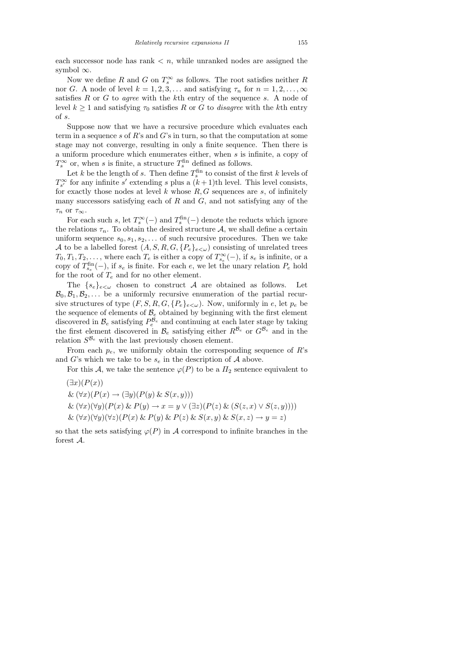each successor node has rank  $\lt n$ , while unranked nodes are assigned the symbol  $\infty$ .

Now we define R and G on  $T_s^{\infty}$  as follows. The root satisfies neither R nor G. A node of level  $k = 1, 2, 3, \ldots$  and satisfying  $\tau_n$  for  $n = 1, 2, \ldots, \infty$ satisfies  $R$  or  $G$  to *agree* with the  $k$ <sup>th</sup> entry of the sequence  $s$ . A node of level  $k \geq 1$  and satisfying  $\tau_0$  satisfies R or G to *disagree* with the kth entry of s.

Suppose now that we have a recursive procedure which evaluates each term in a sequence s of R's and G's in turn, so that the computation at some stage may not converge, resulting in only a finite sequence. Then there is a uniform procedure which enumerates either, when s is infinite, a copy of  $T_s^{\infty}$  or, when s is finite, a structure  $T_s^{\text{fin}}$  defined as follows.

Let k be the length of s. Then define  $T_s^{\text{fin}}$  to consist of the first k levels of  $T_{s'}^{\infty}$  for any infinite s' extending s plus a  $(k+1)$ th level. This level consists, for exactly those nodes at level  $k$  whose  $R, G$  sequences are  $s$ , of infinitely many successors satisfying each of  $R$  and  $G$ , and not satisfying any of the  $\tau_n$  or  $\tau_\infty$ .

For each such s, let  $T_s^{\infty}(-)$  and  $T_s^{\text{fin}}(-)$  denote the reducts which ignore the relations  $\tau_n$ . To obtain the desired structure A, we shall define a certain uniform sequence  $s_0, s_1, s_2, \ldots$  of such recursive procedures. Then we take A to be a labelled forest  $(A, S, R, G, \{P_e\}_{e\lt\omega})$  consisting of unrelated trees  $T_0, T_1, T_2, \ldots$ , where each  $T_e$  is either a copy of  $T_{s_e}^{\infty}(-)$ , if  $s_e$  is infinite, or a copy of  $T_{s_e}^{\text{fin}}(-)$ , if  $s_e$  is finite. For each e, we let the unary relation  $P_e$  hold for the root of  $T_e$  and for no other element.

The  $\{s_e\}_{e\leq\omega}$  chosen to construct A are obtained as follows. Let  $\mathcal{B}_0, \mathcal{B}_1, \mathcal{B}_2, \ldots$  be a uniformly recursive enumeration of the partial recursive structures of type  $(F, S, R, G, \{P_e\}_{e \leq \omega})$ . Now, uniformly in e, let  $p_e$  be the sequence of elements of  $B_e$  obtained by beginning with the first element discovered in  $\mathcal{B}_e$  satisfying  $P_e^{\mathcal{B}_e}$  and continuing at each later stage by taking the first element discovered in  $\mathcal{B}_e$  satisfying either  $R^{\mathcal{B}_e}$  or  $G^{\mathcal{B}_e}$  and in the relation  $S^{\mathcal{B}_e}$  with the last previously chosen element.

From each  $p_e$ , we uniformly obtain the corresponding sequence of  $R$ 's and G's which we take to be  $s_e$  in the description of A above.

For this A, we take the sentence  $\varphi(P)$  to be a  $\Pi_2$  sentence equivalent to

 $(\exists x)(P(x))$ 

 $\& (\forall x)(P(x) \rightarrow (\exists y)(P(y) \& S(x,y)))$ 

 $\& (\forall x)(\forall y)(P(x) \& P(y) \rightarrow x = y \vee (\exists z)(P(z) \& (S(z,x) \vee S(z,y))))$ 

 $\& (\forall x)(\forall y)(\forall z)(P(x) \& P(y) \& P(z) \& S(x, y) \& S(x, z) \rightarrow y = z)$ 

so that the sets satisfying  $\varphi(P)$  in A correspond to infinite branches in the forest A.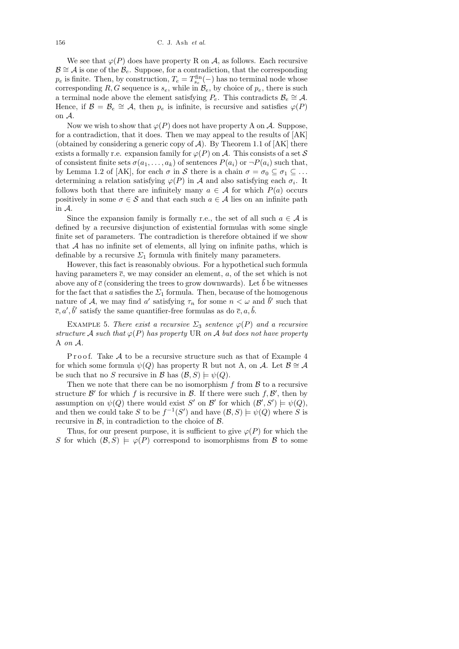We see that  $\varphi(P)$  does have property R on A, as follows. Each recursive  $\mathcal{B} \cong \mathcal{A}$  is one of the  $\mathcal{B}_e$ . Suppose, for a contradiction, that the corresponding  $p_e$  is finite. Then, by construction,  $T_e = T_{s_e}^{\text{fin}}(-)$  has no terminal node whose corresponding R, G sequence is  $s_e$ , while in  $\mathcal{B}_e$ , by choice of  $p_e$ , there is such a terminal node above the element satisfying  $P_e$ . This contradicts  $\mathcal{B}_e \cong \mathcal{A}$ . Hence, if  $\mathcal{B} = \mathcal{B}_e \cong \mathcal{A}$ , then  $p_e$  is infinite, is recursive and satisfies  $\varphi(P)$ on A.

Now we wish to show that  $\varphi(P)$  does not have property A on A. Suppose, for a contradiction, that it does. Then we may appeal to the results of [AK] (obtained by considering a generic copy of  $A$ ). By Theorem 1.1 of [AK] there exists a formally r.e. expansion family for  $\varphi(P)$  on A. This consists of a set S of consistent finite sets  $\sigma(a_1, \ldots, a_k)$  of sentences  $P(a_i)$  or  $\neg P(a_i)$  such that, by Lemma 1.2 of [AK], for each  $\sigma$  in S there is a chain  $\sigma = \sigma_0 \subseteq \sigma_1 \subseteq \ldots$ determining a relation satisfying  $\varphi(P)$  in A and also satisfying each  $\sigma_i$ . It follows both that there are infinitely many  $a \in \mathcal{A}$  for which  $P(a)$  occurs positively in some  $\sigma \in \mathcal{S}$  and that each such  $a \in \mathcal{A}$  lies on an infinite path in A.

Since the expansion family is formally r.e., the set of all such  $a \in \mathcal{A}$  is defined by a recursive disjunction of existential formulas with some single finite set of parameters. The contradiction is therefore obtained if we show that A has no infinite set of elements, all lying on infinite paths, which is definable by a recursive  $\Sigma_1$  formula with finitely many parameters.

However, this fact is reasonably obvious. For a hypothetical such formula having parameters  $\bar{c}$ , we may consider an element, a, of the set which is not above any of  $\bar{c}$  (considering the trees to grow downwards). Let  $\bar{b}$  be witnesses for the fact that a satisfies the  $\Sigma_1$  formula. Then, because of the homogenous nature of A, we may find a' satisfying  $\tau_n$  for some  $n < \omega$  and  $\bar{b}'$  such that  $\overline{c}, a', \overline{b}'$  satisfy the same quantifier-free formulas as do  $\overline{c}, a, \overline{b}$ .

EXAMPLE 5. There exist a recursive  $\Sigma_3$  sentence  $\varphi(P)$  and a recursive structure A such that  $\varphi(P)$  has property UR on A but does not have property A on A.

Proof. Take  $A$  to be a recursive structure such as that of Example 4 for which some formula  $\psi(Q)$  has property R but not A, on A. Let  $\mathcal{B} \cong \mathcal{A}$ be such that no S recursive in B has  $(\mathcal{B}, S) \models \psi(Q)$ .

Then we note that there can be no isomorphism  $f$  from  $\mathcal B$  to a recursive structure  $\mathcal{B}'$  for which f is recursive in  $\mathcal{B}$ . If there were such  $f, \mathcal{B}'$ , then by assumption on  $\psi(Q)$  there would exist S' on B' for which  $(\mathcal{B}', S') \models \psi(Q)$ , and then we could take S to be  $f^{-1}(S')$  and have  $(\mathcal{B}, S) \models \psi(Q)$  where S is recursive in  $\mathcal{B}$ , in contradiction to the choice of  $\mathcal{B}$ .

Thus, for our present purpose, it is sufficient to give  $\varphi(P)$  for which the S for which  $(\mathcal{B}, S) \models \varphi(P)$  correspond to isomorphisms from B to some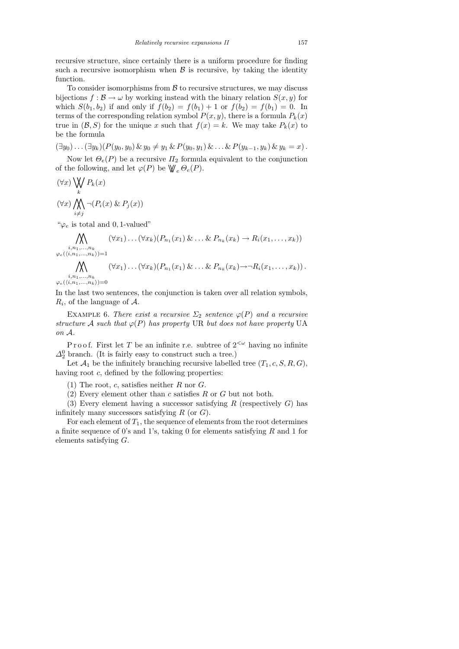recursive structure, since certainly there is a uniform procedure for finding such a recursive isomorphism when  $\beta$  is recursive, by taking the identity function.

To consider isomorphisms from  $\beta$  to recursive structures, we may discuss bijections  $f : \mathcal{B} \to \omega$  by working instead with the binary relation  $S(x, y)$  for which  $S(b_1, b_2)$  if and only if  $f(b_2) = f(b_1) + 1$  or  $f(b_2) = f(b_1) = 0$ . In terms of the corresponding relation symbol  $P(x, y)$ , there is a formula  $P_k(x)$ true in  $(\mathcal{B}, S)$  for the unique x such that  $f(x) = k$ . We may take  $P_k(x)$  to be the formula

 $(\exists y_0) \ldots (\exists y_k)(P(y_0, y_0) \& y_0 \neq y_1 \& P(y_0, y_1) \& \ldots \& P(y_{k-1}, y_k) \& y_k = x).$ 

Now let  $\Theta_e(P)$  be a recursive  $\Pi_2$  formula equivalent to the conjunction of the following, and let  $\varphi(P)$  be  $\mathsf{W}_{e} \,\Theta_e(P)$ .

$$
(\forall x) \bigvee_{k} P_{k}(x)
$$
  

$$
(\forall x) \bigwedge_{i \neq j} \neg (P_{i}(x) \& P_{j}(x))
$$

" $\varphi_e$  is total and 0, 1-valued"

$$
\bigwedge_{i,n_1,\ldots,n_k} (\forall x_1)\ldots(\forall x_k)(P_{n_1}(x_1)\&\ldots\&P_{n_k}(x_k)\to R_i(x_1,\ldots,x_k))
$$

$$
\varphi_e(\langle i,n_1,\ldots,n_k\rangle)=1
$$

$$
\bigwedge_{i=1}^k (\forall x_1)\ldots(\forall x_k)(P_{n_1}(x_1)\&\ldots\&P_{n_k}(x_k)\to\neg R_i(x_1,\ldots,x_k)).
$$

 $i, n_1,...,n_k$  $\varphi_{e}(\langle i,\hspace{-0.05cm} n_1,\hspace{-0.05cm} \ldots,\hspace{-0.05cm} n_k\rangle )\hspace{-0.05cm}=\hspace{-0.05cm}0$ 

In the last two sentences, the conjunction is taken over all relation symbols,  $R_i$ , of the language of  $A$ .

EXAMPLE 6. There exist a recursive  $\Sigma_2$  sentence  $\varphi(P)$  and a recursive structure A such that  $\varphi(P)$  has property UR but does not have property UA on A.

P r o o f. First let T be an infinite r.e. subtree of  $2^{<\omega}$  having no infinite  $\Delta_2^0$  branch. (It is fairly easy to construct such a tree.)

Let  $\mathcal{A}_1$  be the infinitely branching recursive labelled tree  $(T_1, c, S, R, G)$ , having root  $c$ , defined by the following properties:

(1) The root, c, satisfies neither  $R$  nor  $G$ .

(2) Every element other than  $c$  satisfies  $R$  or  $G$  but not both.

(3) Every element having a successor satisfying R (respectively  $G$ ) has infinitely many successors satisfying  $R$  (or  $G$ ).

For each element of  $T_1$ , the sequence of elements from the root determines a finite sequence of 0's and 1's, taking 0 for elements satisfying  $R$  and 1 for elements satisfying G.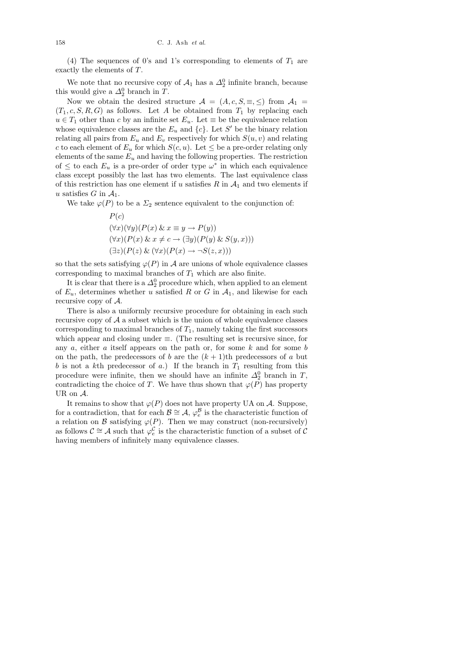(4) The sequences of 0's and 1's corresponding to elements of  $T_1$  are exactly the elements of T.

We note that no recursive copy of  $A_1$  has a  $\Delta_2^0$  infinite branch, because this would give a  $\Delta_2^0$  branch in T.

Now we obtain the desired structure  $\mathcal{A} = (A, c, S, \equiv, \leq)$  from  $\mathcal{A}_1 =$  $(T_1, c, S, R, G)$  as follows. Let A be obtained from  $T_1$  by replacing each  $u \in T_1$  other than c by an infinite set  $E_u$ . Let  $\equiv$  be the equivalence relation whose equivalence classes are the  $E_u$  and  $\{c\}$ . Let S' be the binary relation relating all pairs from  $E_u$  and  $E_v$  respectively for which  $S(u, v)$  and relating c to each element of  $E_u$  for which  $S(c, u)$ . Let  $\leq$  be a pre-order relating only elements of the same  $E_u$  and having the following properties. The restriction of  $\leq$  to each  $E_u$  is a pre-order of order type  $\omega^*$  in which each equivalence class except possibly the last has two elements. The last equivalence class of this restriction has one element if u satisfies  $R$  in  $A_1$  and two elements if u satisfies G in  $A_1$ .

We take  $\varphi(P)$  to be a  $\Sigma_2$  sentence equivalent to the conjunction of:

$$
P(c)
$$
  
\n
$$
(\forall x)(\forall y)(P(x) \& x \equiv y \rightarrow P(y))
$$
  
\n
$$
(\forall x)(P(x) \& x \neq c \rightarrow (\exists y)(P(y) \& S(y, x)))
$$
  
\n
$$
(\exists z)(P(z) \& (\forall x)(P(x) \rightarrow \neg S(z, x)))
$$

so that the sets satisfying  $\varphi(P)$  in A are unions of whole equivalence classes corresponding to maximal branches of  $T_1$  which are also finite.

It is clear that there is a  $\Delta_2^0$  procedure which, when applied to an element of  $E_u$ , determines whether u satisfied R or G in  $A_1$ , and likewise for each recursive copy of  $A$ .

There is also a uniformly recursive procedure for obtaining in each such recursive copy of  $A$  a subset which is the union of whole equivalence classes corresponding to maximal branches of  $T_1$ , namely taking the first successors which appear and closing under  $\equiv$ . (The resulting set is recursive since, for any  $a$ , either  $a$  itself appears on the path or, for some  $k$  and for some  $b$ on the path, the predecessors of b are the  $(k+1)$ th predecessors of a but b is not a kth predecessor of a.) If the branch in  $T_1$  resulting from this procedure were infinite, then we should have an infinite  $\Delta_2^0$  branch in T, contradicting the choice of T. We have thus shown that  $\varphi(P)$  has property UR on A.

It remains to show that  $\varphi(P)$  does not have property UA on A. Suppose, for a contradiction, that for each  $\mathcal{B} \cong \mathcal{A}, \varphi_e^{\mathcal{B}}$  is the characteristic function of a relation on B satisfying  $\varphi(P)$ . Then we may construct (non-recursively) as follows  $\mathcal{C} \cong \mathcal{A}$  such that  $\varphi_e^{\mathcal{C}}$  is the characteristic function of a subset of  $\mathcal{C}$ having members of infinitely many equivalence classes.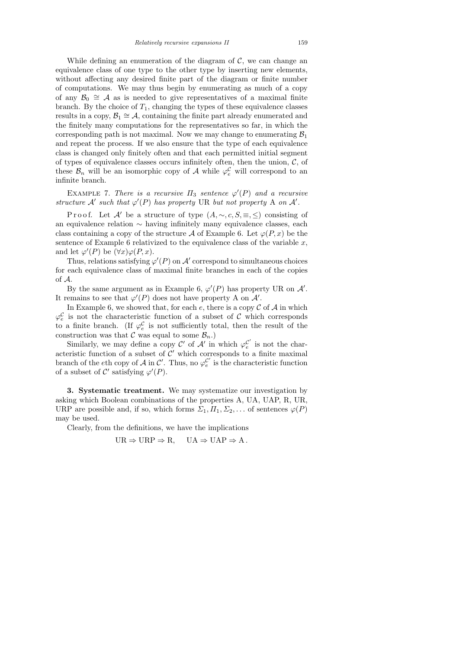While defining an enumeration of the diagram of  $\mathcal{C}$ , we can change an equivalence class of one type to the other type by inserting new elements, without affecting any desired finite part of the diagram or finite number of computations. We may thus begin by enumerating as much of a copy of any  $\mathcal{B}_0 \cong \mathcal{A}$  as is needed to give representatives of a maximal finite branch. By the choice of  $T_1$ , changing the types of these equivalence classes results in a copy,  $\mathcal{B}_1 \cong \mathcal{A}$ , containing the finite part already enumerated and the finitely many computations for the representatives so far, in which the corresponding path is not maximal. Now we may change to enumerating  $\mathcal{B}_1$ and repeat the process. If we also ensure that the type of each equivalence class is changed only finitely often and that each permitted initial segment of types of equivalence classes occurs infinitely often, then the union,  $\mathcal{C}$ , of these  $\mathcal{B}_n$  will be an isomorphic copy of A while  $\varphi_e^{\mathcal{C}}$  will correspond to an infinite branch.

EXAMPLE 7. There is a recursive  $\Pi_3$  sentence  $\varphi'(P)$  and a recursive structure  $\mathcal{A}'$  such that  $\varphi'(P)$  has property UR but not property A on  $\mathcal{A}'$ .

P r o o f. Let A' be a structure of type  $(A, \sim, c, S, \equiv, \leq)$  consisting of an equivalence relation ∼ having infinitely many equivalence classes, each class containing a copy of the structure A of Example 6. Let  $\varphi(P, x)$  be the sentence of Example 6 relativized to the equivalence class of the variable  $x$ , and let  $\varphi'(P)$  be  $(\forall x)\varphi(P,x)$ .

Thus, relations satisfying  $\varphi'(P)$  on  $\mathcal{A}'$  correspond to simultaneous choices for each equivalence class of maximal finite branches in each of the copies of A.

By the same argument as in Example 6,  $\varphi'(P)$  has property UR on  $\mathcal{A}'$ . It remains to see that  $\varphi'(P)$  does not have property A on  $\mathcal{A}'$ .

In Example 6, we showed that, for each  $e$ , there is a copy  $C$  of  $A$  in which  $\varphi_e^{\mathcal{C}}$  is not the characteristic function of a subset of  $\mathcal C$  which corresponds to a finite branch. (If  $\varphi_e^{\mathcal{C}}$  is not sufficiently total, then the result of the construction was that  $C$  was equal to some  $\mathcal{B}_n$ .)

Similarly, we may define a copy  $\mathcal{C}'$  of  $\mathcal{A}'$  in which  $\varphi_c^{\mathcal{C}'}$  $e^{\prime\prime}$  is not the characteristic function of a subset of  $\mathcal{C}'$  which corresponds to a finite maximal branch of the eth copy of A in C'. Thus, no  $\varphi_c^{\mathcal{C}'}$  $e^{\prime}$  is the characteristic function of a subset of  $\mathcal{C}'$  satisfying  $\varphi'(P)$ .

3. Systematic treatment. We may systematize our investigation by asking which Boolean combinations of the properties A, UA, UAP, R, UR, URP are possible and, if so, which forms  $\Sigma_1, \Pi_1, \Sigma_2, \ldots$  of sentences  $\varphi(P)$ may be used.

Clearly, from the definitions, we have the implications

$$
UR \Rightarrow URP \Rightarrow R, \quad UA \Rightarrow UAP \Rightarrow A.
$$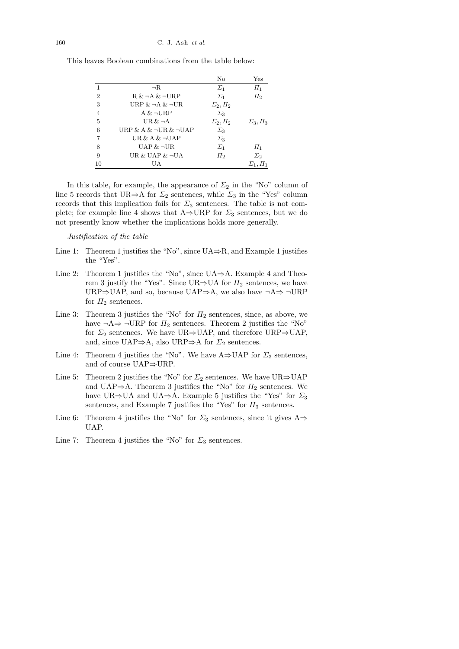|                |                                  | No                | Yes               |
|----------------|----------------------------------|-------------------|-------------------|
| 1              | $\neg R$                         | $\Sigma_1$        | $\varPi_1$        |
| $\overline{2}$ | $R \& \neg A \& \neg URP$        | $\Sigma_1$        | $\Pi_2$           |
| 3              | URP $&\neg A&\neg \text{UR}$     | $\Sigma_2, \Pi_2$ |                   |
| $\overline{4}$ | $A & \neg \text{URP}$            | $\Sigma_3$        |                   |
| 5              | UR $&\neg A$                     | $\Sigma_2, \Pi_2$ | $\Sigma_3, \Pi_3$ |
| 6              | URP & A & $\neg$ UR & $\neg$ UAP | $\Sigma_3$        |                   |
| 7              | UR & A $\&$ $\neg$ UAP           | $\Sigma_3$        |                   |
| 8              | $UAP \& \neg UR$                 | $\Sigma_1$        | $\prod_{1}$       |
| 9              | UR $\&$ UAP $\&$ -UA             | $\Pi_2$           | $\Sigma_2$        |
| 10             | UA                               |                   | $\Sigma_1, \Pi_1$ |

This leaves Boolean combinations from the table below:

In this table, for example, the appearance of  $\Sigma_2$  in the "No" column of line 5 records that UR⇒A for  $\Sigma_2$  sentences, while  $\Sigma_3$  in the "Yes" column records that this implication fails for  $\Sigma_3$  sentences. The table is not complete; for example line 4 shows that  $A\rightarrow URP$  for  $\Sigma_3$  sentences, but we do not presently know whether the implications holds more generally.

Justification of the table

- Line 1: Theorem 1 justifies the "No", since  $UA \Rightarrow R$ , and Example 1 justifies the "Yes".
- Line 2: Theorem 1 justifies the "No", since  $UA \Rightarrow A$ . Example 4 and Theorem 3 justify the "Yes". Since UR⇒UA for  $\Pi_2$  sentences, we have URP⇒UAP, and so, because UAP⇒A, we also have  $\neg A \Rightarrow \neg \text{URP}$ for  $\Pi_2$  sentences.
- Line 3: Theorem 3 justifies the "No" for  $\Pi_2$  sentences, since, as above, we have  $\neg A \Rightarrow \neg \text{URP}$  for  $\Pi_2$  sentences. Theorem 2 justifies the "No" for  $\Sigma_2$  sentences. We have UR⇒UAP, and therefore URP⇒UAP, and, since UAP⇒A, also URP⇒A for  $\Sigma_2$  sentences.
- Line 4: Theorem 4 justifies the "No". We have  $A\Rightarrow UAP$  for  $\Sigma_3$  sentences, and of course UAP⇒URP.
- Line 5: Theorem 2 justifies the "No" for  $\Sigma_2$  sentences. We have UR⇒UAP and UAP⇒A. Theorem 3 justifies the "No" for  $\Pi_2$  sentences. We have UR⇒UA and UA⇒A. Example 5 justifies the "Yes" for  $\Sigma_3$ sentences, and Example 7 justifies the "Yes" for  $\Pi_3$  sentences.
- Line 6: Theorem 4 justifies the "No" for  $\Sigma_3$  sentences, since it gives A $\Rightarrow$ UAP.
- Line 7: Theorem 4 justifies the "No" for  $\Sigma_3$  sentences.